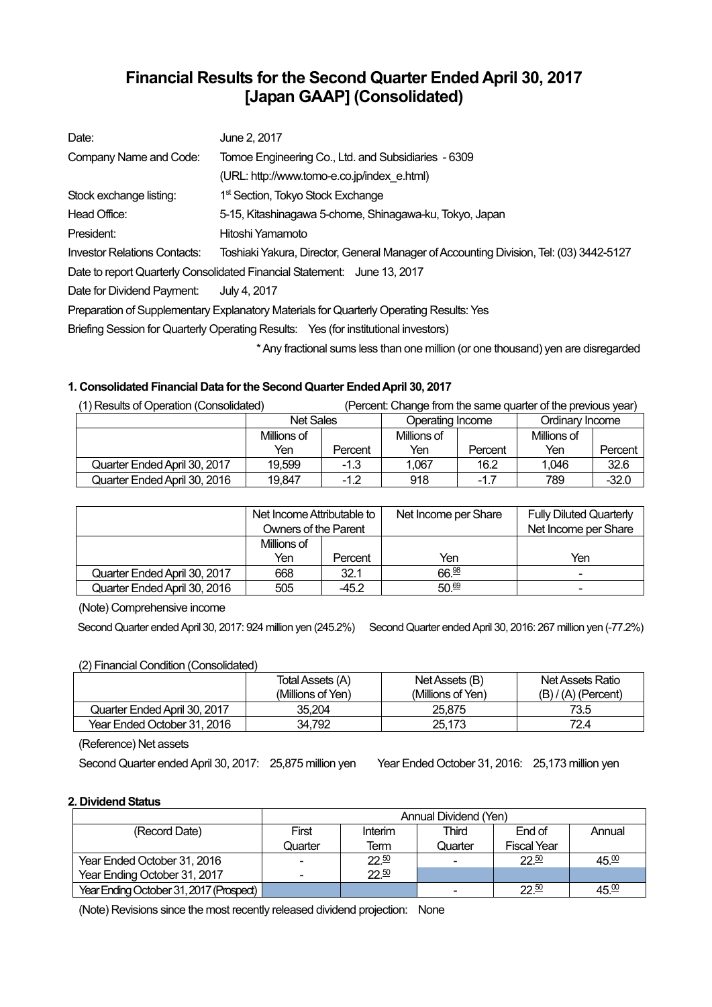# **Financial Results for the Second Quarter Ended April 30, 2017 [Japan GAAP] (Consolidated)**

| Date:                        | June 2, 2017                                                                            |
|------------------------------|-----------------------------------------------------------------------------------------|
| Company Name and Code:       | Tomoe Engineering Co., Ltd. and Subsidiaries - 6309                                     |
|                              | (URL: http://www.tomo-e.co.jp/index e.html)                                             |
| Stock exchange listing:      | 1 <sup>st</sup> Section, Tokyo Stock Exchange                                           |
| Head Office:                 | 5-15, Kitashinagawa 5-chome, Shinagawa-ku, Tokyo, Japan                                 |
| President:                   | Hitoshi Yamamoto                                                                        |
| Investor Relations Contacts: | Toshiaki Yakura, Director, General Manager of Accounting Division, Tel: (03) 3442-5127  |
|                              | Date to report Quarterly Consolidated Financial Statement: June 13, 2017                |
| Date for Dividend Payment:   | July 4, 2017                                                                            |
|                              | Preparation of Supplementary Explanatory Materials for Quarterly Operating Results: Yes |
|                              | Briefing Session for Quarterly Operating Results: Yes (for institutional investors)     |
|                              | * Any fractional sums less than one million (or one thousand) yen are disregarded       |

### **1. Consolidated Financial Data for the Second Quarter Ended April 30, 2017**

| (1) Results of Operation (Consolidated)<br>(Percent: Change from the same quarter of the previous year) |                  |         |                  |         |                 |         |
|---------------------------------------------------------------------------------------------------------|------------------|---------|------------------|---------|-----------------|---------|
|                                                                                                         | <b>Net Sales</b> |         | Operating Income |         | Ordinary Income |         |
|                                                                                                         | Millions of      |         | Millions of      |         | Millions of     |         |
|                                                                                                         | Yen              | Percent | Yen              | Percent | Yen             | Percent |
| Quarter Ended April 30, 2017                                                                            | 19.599           | $-1.3$  | 1.067            | 16.2    | 1.046           | 32.6    |
| Quarter Ended April 30, 2016                                                                            | 19,847           | $-1.2$  | 918              | $-1.7$  | 789             | $-32.0$ |

|                              | Net Income Attributable to<br>Owners of the Parent |         | Net Income per Share | <b>Fully Diluted Quarterly</b><br>Net Income per Share |
|------------------------------|----------------------------------------------------|---------|----------------------|--------------------------------------------------------|
|                              | Millions of                                        |         |                      |                                                        |
|                              | Yen                                                | Percent | Yen                  | Yen                                                    |
| Quarter Ended April 30, 2017 | 668                                                | 32.1    | 66.98                | $\blacksquare$                                         |
| Quarter Ended April 30, 2016 | 505                                                | -45.2   | 50.69                | ۰                                                      |

(Note) Comprehensive income

Second Quarter ended April 30, 2017: 924 million yen (245.2%) Second Quarter ended April 30, 2016: 267 million yen (-77.2%)

#### (2) Financial Condition (Consolidated)

|                              | Total Assets (A)<br>(Millions of Yen) | Net Assets (B)<br>(Millions of Yen) | Net Assets Ratio<br>$(B) / (A)$ (Percent) |
|------------------------------|---------------------------------------|-------------------------------------|-------------------------------------------|
| Quarter Ended April 30, 2017 | 35.204                                | 25.875                              | 73.5                                      |
| Year Ended October 31, 2016  | 34.792                                | 25.173                              | 72.4                                      |

(Reference) Net assets

Second Quarter ended April 30, 2017: 25,875 million yen Year Ended October 31, 2016: 25,173 million yen

#### **2. Dividend Status**

|                                         | Annual Dividend (Yen) |         |         |                    |                   |  |
|-----------------------------------------|-----------------------|---------|---------|--------------------|-------------------|--|
| (Record Date)                           | First                 | Interim | Third   | End of             | Annual            |  |
|                                         | Quarter               | Term    | Quarter | <b>Fiscal Year</b> |                   |  |
| Year Ended October 31, 2016             |                       | 22.50   |         | $22^{50}$          | 45.00             |  |
| Year Ending October 31, 2017            |                       | 22.50   |         |                    |                   |  |
| Year Ending October 31, 2017 (Prospect) |                       |         |         | $22^{50}$          | 45. <sup>00</sup> |  |

(Note) Revisions since the most recently released dividend projection: None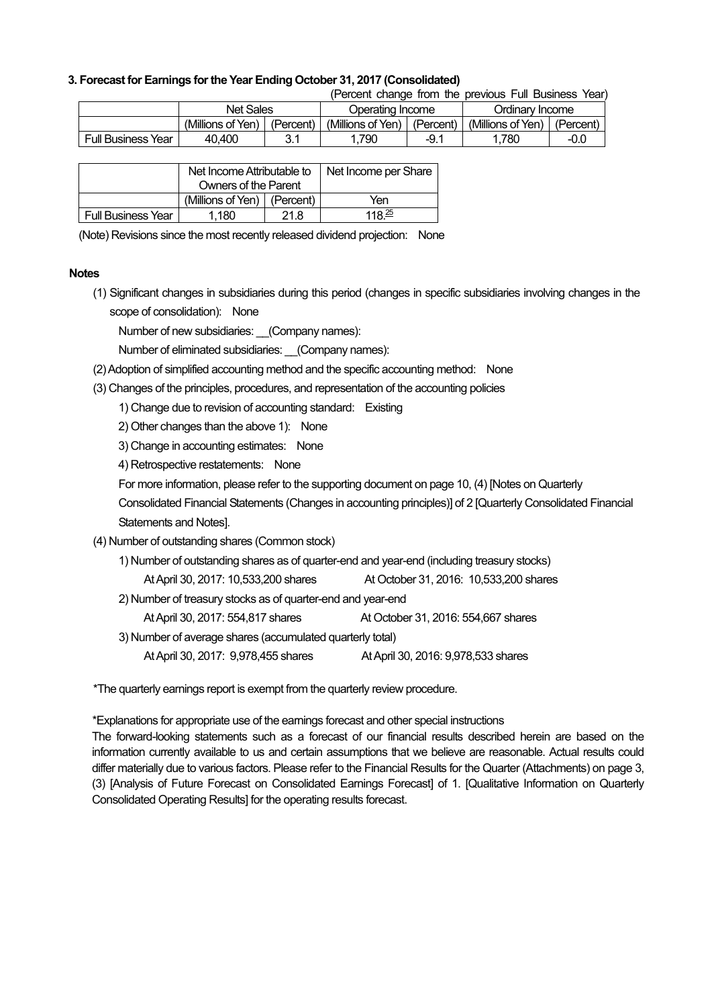#### **3. Forecast for Earnings for the Year Ending October 31, 2017 (Consolidated)**

(Percent change from the previous Full Business Year)

|                           | Net Sales         |            |                   | Operating Income |                   | Ordinary Income |  |
|---------------------------|-------------------|------------|-------------------|------------------|-------------------|-----------------|--|
|                           | (Millions of Yen) | (Percent)  | (Millions of Yen) | (Percent)        | (Millions of Yen) | 'Percent,       |  |
| <b>Full Business Year</b> | 40.400            | ດ 4<br>J.I | 790               | $-9.1$           | 780               | -0.0            |  |

|                           | Net Income Attributable to      |      | Net Income per Share |
|---------------------------|---------------------------------|------|----------------------|
|                           | Owners of the Parent            |      |                      |
|                           | (Millions of Yen) $ $ (Percent) |      | Yen                  |
| <b>Full Business Year</b> | 1.180                           | 21.8 | $118^{25}$           |

(Note) Revisions since the most recently released dividend projection: None

#### **Notes**

(1) Significant changes in subsidiaries during this period (changes in specific subsidiaries involving changes in the scope of consolidation): None

Number of new subsidiaries: \_\_(Company names):

Number of eliminated subsidiaries: (Company names):

- (2) Adoption of simplified accounting method and the specific accounting method: None
- (3) Changes of the principles, procedures, and representation of the accounting policies

1) Change due to revision of accounting standard: Existing

2) Other changes than the above 1): None

3) Change in accounting estimates: None

4) Retrospective restatements: None

For more information, please refer to the supporting document on page 10, (4) [Notes on Quarterly

Consolidated Financial Statements (Changes in accounting principles)] of 2 [Quarterly Consolidated Financial Statements and Notes].

- (4) Number of outstanding shares (Common stock)
	- 1) Number of outstanding shares as of quarter-end and year-end (including treasury stocks)
		- At April 30, 2017: 10,533,200 shares At October 31, 2016: 10,533,200 shares
	- 2) Number of treasury stocks as of quarter-end and year-end

At April 30, 2017: 554,817 shares At October 31, 2016: 554,667 shares

3) Number of average shares (accumulated quarterly total)

At April 30, 2017: 9,978,455 shares At April 30, 2016: 9,978,533 shares

\*The quarterly earnings report is exempt from the quarterly review procedure.

\*Explanations for appropriate use of the earnings forecast and other special instructions

The forward-looking statements such as a forecast of our financial results described herein are based on the information currently available to us and certain assumptions that we believe are reasonable. Actual results could differ materially due to various factors. Please refer to the Financial Results for the Quarter (Attachments) on page 3, (3) [Analysis of Future Forecast on Consolidated Earnings Forecast] of 1. [Qualitative Information on Quarterly Consolidated Operating Results] for the operating results forecast.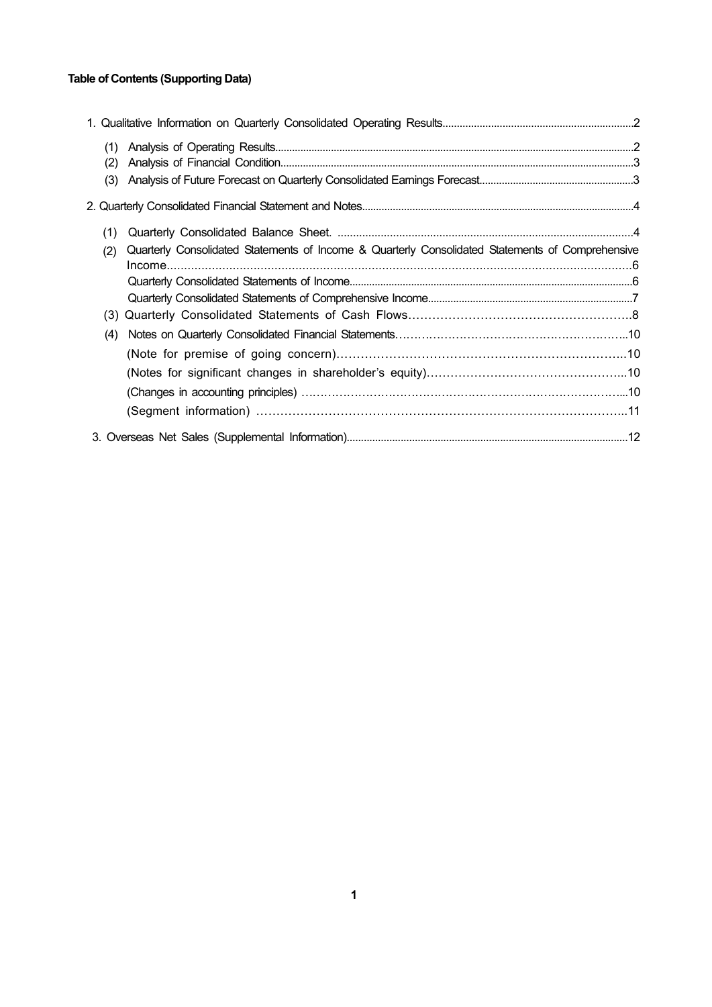## **Table of Contents (Supporting Data)**

| (1) |                                                                                                  |  |
|-----|--------------------------------------------------------------------------------------------------|--|
| (2) |                                                                                                  |  |
| (3) |                                                                                                  |  |
|     |                                                                                                  |  |
| (1) |                                                                                                  |  |
| (2) | Quarterly Consolidated Statements of Income & Quarterly Consolidated Statements of Comprehensive |  |
|     |                                                                                                  |  |
|     |                                                                                                  |  |
| (3) |                                                                                                  |  |
| (4) |                                                                                                  |  |
|     |                                                                                                  |  |
|     |                                                                                                  |  |
|     |                                                                                                  |  |
|     |                                                                                                  |  |
|     |                                                                                                  |  |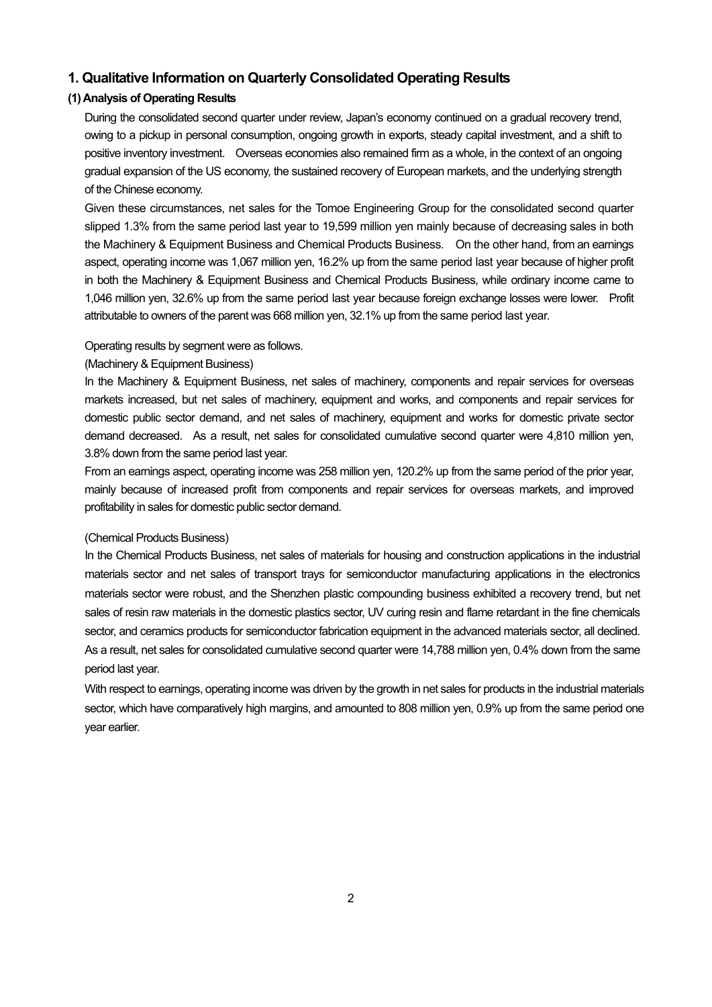### **1. Qualitative Information on Quarterly Consolidated Operating Results**

### **(1) Analysis of Operating Results**

During the consolidated second quarter under review, Japan's economy continued on a gradual recovery trend, owing to a pickup in personal consumption, ongoing growth in exports, steady capital investment, and a shift to positive inventory investment. Overseas economies also remained firm as a whole, in the context of an ongoing gradual expansion of the US economy, the sustained recovery of European markets, and the underlying strength of the Chinese economy.

Given these circumstances, net sales for the Tomoe Engineering Group for the consolidated second quarter slipped 1.3% from the same period last year to 19,599 million yen mainly because of decreasing sales in both the Machinery & Equipment Business and Chemical Products Business. On the other hand, from an earnings aspect, operating income was 1,067 million yen, 16.2% up from the same period last year because of higher profit in both the Machinery & Equipment Business and Chemical Products Business, while ordinary income came to 1,046 million yen, 32.6% up from the same period last year because foreign exchange losses were lower. Profit attributable to owners of the parent was 668 million yen, 32.1% up from the same period last year.

#### Operating results by segment were as follows.

#### (Machinery & Equipment Business)

In the Machinery & Equipment Business, net sales of machinery, components and repair services for overseas markets increased, but net sales of machinery, equipment and works, and components and repair services for domestic public sector demand, and net sales of machinery, equipment and works for domestic private sector demand decreased. As a result, net sales for consolidated cumulative second quarter were 4,810 million yen, 3.8% down from the same period last year.

From an earnings aspect, operating income was 258 million yen, 120.2% up from the same period of the prior year, mainly because of increased profit from components and repair services for overseas markets, and improved profitability in sales for domestic public sector demand.

#### (Chemical Products Business)

In the Chemical Products Business, net sales of materials for housing and construction applications in the industrial materials sector and net sales of transport trays for semiconductor manufacturing applications in the electronics materials sector were robust, and the Shenzhen plastic compounding business exhibited a recovery trend, but net sales of resin raw materials in the domestic plastics sector, UV curing resin and flame retardant in the fine chemicals sector, and ceramics products for semiconductor fabrication equipment in the advanced materials sector, all declined. As a result, net sales for consolidated cumulative second quarter were 14,788 million yen, 0.4% down from the same period last year.

With respect to earnings, operating income was driven by the growth in net sales for products in the industrial materials sector, which have comparatively high margins, and amounted to 808 million yen, 0.9% up from the same period one year earlier.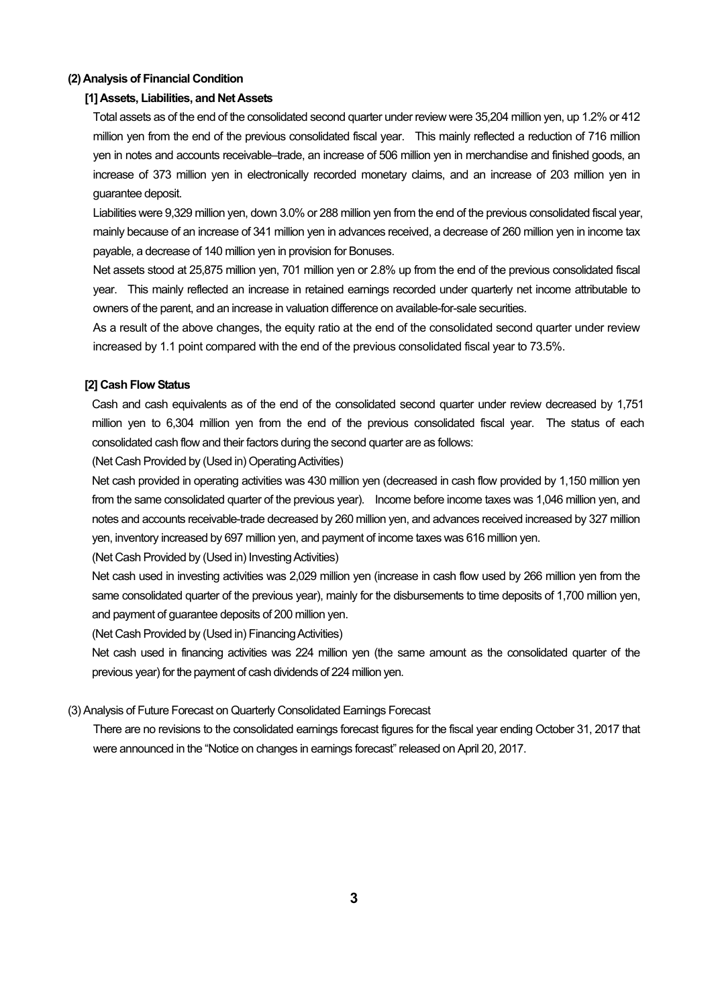#### **(2) Analysis of Financial Condition**

#### **[1] Assets, Liabilities, and Net Assets**

Total assets as of the end of the consolidated second quarter under review were 35,204 million yen, up 1.2% or 412 million yen from the end of the previous consolidated fiscal year. This mainly reflected a reduction of 716 million yen in notes and accounts receivable–trade, an increase of 506 million yen in merchandise and finished goods, an increase of 373 million yen in electronically recorded monetary claims, and an increase of 203 million yen in guarantee deposit.

Liabilities were 9,329 million yen, down 3.0% or 288 million yen from the end of the previous consolidated fiscal year, mainly because of an increase of 341 million yen in advances received, a decrease of 260 million yen in income tax payable, a decrease of 140 million yen in provision for Bonuses.

Net assets stood at 25,875 million yen, 701 million yen or 2.8% up from the end of the previous consolidated fiscal year. This mainly reflected an increase in retained earnings recorded under quarterly net income attributable to owners of the parent, and an increase in valuation difference on available-for-sale securities.

As a result of the above changes, the equity ratio at the end of the consolidated second quarter under review increased by 1.1 point compared with the end of the previous consolidated fiscal year to 73.5%.

#### **[2] Cash Flow Status**

Cash and cash equivalents as of the end of the consolidated second quarter under review decreased by 1,751 million yen to 6,304 million yen from the end of the previous consolidated fiscal year. The status of each consolidated cash flow and their factors during the second quarter are as follows:

(Net Cash Provided by (Used in) Operating Activities)

Net cash provided in operating activities was 430 million yen (decreased in cash flow provided by 1,150 million yen from the same consolidated quarter of the previous year). Income before income taxes was 1,046 million yen, and notes and accounts receivable-trade decreased by 260 million yen, and advances received increased by 327 million yen, inventory increased by 697 million yen, and payment of income taxes was 616 million yen.

(Net Cash Provided by (Used in) Investing Activities)

Net cash used in investing activities was 2,029 million yen (increase in cash flow used by 266 million yen from the same consolidated quarter of the previous year), mainly for the disbursements to time deposits of 1,700 million yen, and payment of guarantee deposits of 200 million yen.

(Net Cash Provided by (Used in) Financing Activities)

Net cash used in financing activities was 224 million yen (the same amount as the consolidated quarter of the previous year) for the payment of cash dividends of 224 million yen.

#### (3) Analysis of Future Forecast on Quarterly Consolidated Earnings Forecast

There are no revisions to the consolidated earnings forecast figures for the fiscal year ending October 31, 2017 that were announced in the "Notice on changes in earnings forecast" released on April 20, 2017.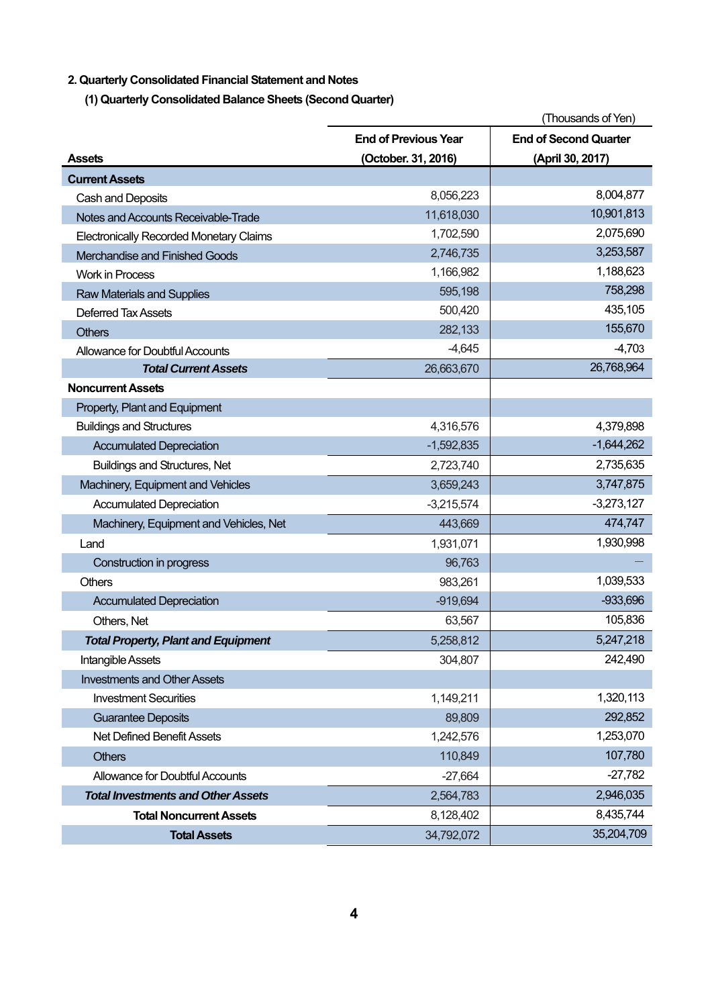## **2. Quarterly Consolidated Financial Statement and Notes**

**(1) Quarterly Consolidated Balance Sheets (Second Quarter)** 

|                                                |                             | (Thousands of Yen)           |
|------------------------------------------------|-----------------------------|------------------------------|
|                                                | <b>End of Previous Year</b> | <b>End of Second Quarter</b> |
| <b>Assets</b>                                  | (October. 31, 2016)         | (April 30, 2017)             |
| <b>Current Assets</b>                          |                             |                              |
| Cash and Deposits                              | 8,056,223                   | 8,004,877                    |
| Notes and Accounts Receivable-Trade            | 11,618,030                  | 10,901,813                   |
| <b>Electronically Recorded Monetary Claims</b> | 1,702,590                   | 2,075,690                    |
| Merchandise and Finished Goods                 | 2,746,735                   | 3,253,587                    |
| <b>Work in Process</b>                         | 1,166,982                   | 1,188,623                    |
| <b>Raw Materials and Supplies</b>              | 595,198                     | 758,298                      |
| <b>Deferred Tax Assets</b>                     | 500,420                     | 435,105                      |
| <b>Others</b>                                  | 282,133                     | 155,670                      |
| Allowance for Doubtful Accounts                | $-4,645$                    | $-4,703$                     |
| <b>Total Current Assets</b>                    | 26,663,670                  | 26,768,964                   |
| <b>Noncurrent Assets</b>                       |                             |                              |
| Property, Plant and Equipment                  |                             |                              |
| <b>Buildings and Structures</b>                | 4,316,576                   | 4,379,898                    |
| <b>Accumulated Depreciation</b>                | $-1,592,835$                | $-1,644,262$                 |
| <b>Buildings and Structures, Net</b>           | 2,723,740                   | 2,735,635                    |
| Machinery, Equipment and Vehicles              | 3,659,243                   | 3,747,875                    |
| <b>Accumulated Depreciation</b>                | $-3,215,574$                | $-3,273,127$                 |
| Machinery, Equipment and Vehicles, Net         | 443,669                     | 474,747                      |
| Land                                           | 1,931,071                   | 1,930,998                    |
| Construction in progress                       | 96,763                      |                              |
| Others                                         | 983,261                     | 1,039,533                    |
| <b>Accumulated Depreciation</b>                | $-919,694$                  | $-933,696$                   |
| Others, Net                                    | 63,567                      | 105,836                      |
| <b>Total Property, Plant and Equipment</b>     | 5,258,812                   | 5,247,218                    |
| Intangible Assets                              | 304,807                     | 242,490                      |
| <b>Investments and Other Assets</b>            |                             |                              |
| <b>Investment Securities</b>                   | 1,149,211                   | 1,320,113                    |
| <b>Guarantee Deposits</b>                      | 89,809                      | 292,852                      |
| <b>Net Defined Benefit Assets</b>              | 1,242,576                   | 1,253,070                    |
| <b>Others</b>                                  | 110,849                     | 107,780                      |
| Allowance for Doubtful Accounts                | $-27,664$                   | $-27,782$                    |
| <b>Total Investments and Other Assets</b>      | 2,564,783                   | 2,946,035                    |
| <b>Total Noncurrent Assets</b>                 | 8,128,402                   | 8,435,744                    |
| <b>Total Assets</b>                            | 34,792,072                  | 35,204,709                   |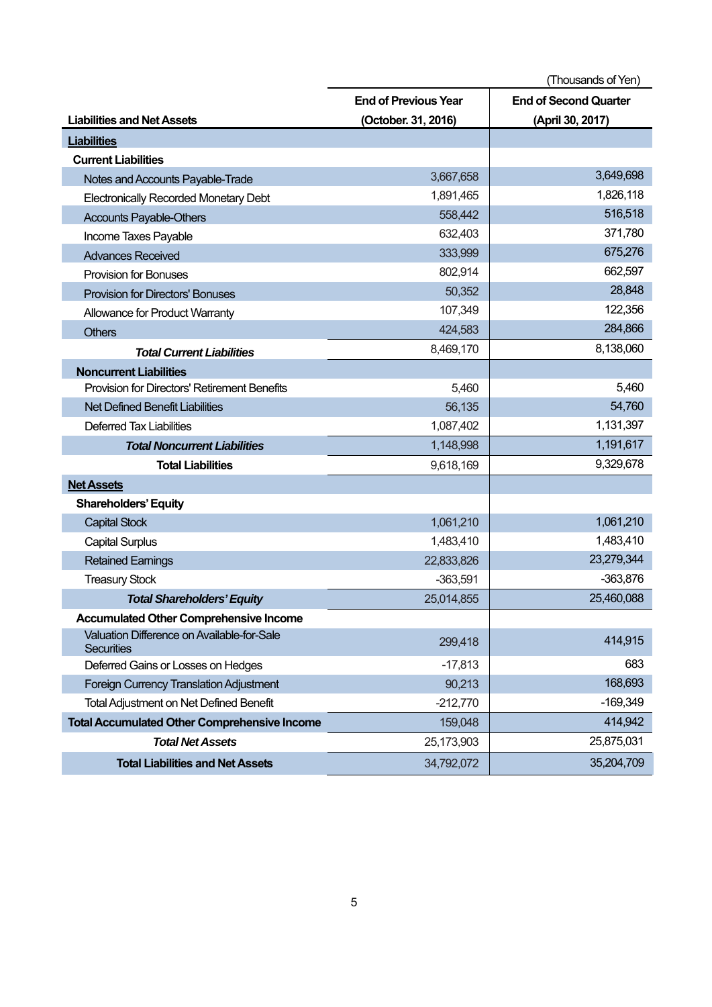|                                                                 | (Thousands of Yen)          |                              |  |
|-----------------------------------------------------------------|-----------------------------|------------------------------|--|
|                                                                 | <b>End of Previous Year</b> | <b>End of Second Quarter</b> |  |
| <b>Liabilities and Net Assets</b>                               | (October. 31, 2016)         | (April 30, 2017)             |  |
| <b>Liabilities</b>                                              |                             |                              |  |
| <b>Current Liabilities</b>                                      |                             |                              |  |
| Notes and Accounts Payable-Trade                                | 3,667,658                   | 3,649,698                    |  |
| <b>Electronically Recorded Monetary Debt</b>                    | 1,891,465                   | 1,826,118                    |  |
| <b>Accounts Payable-Others</b>                                  | 558,442                     | 516,518                      |  |
| Income Taxes Payable                                            | 632,403                     | 371,780                      |  |
| <b>Advances Received</b>                                        | 333,999                     | 675,276                      |  |
| <b>Provision for Bonuses</b>                                    | 802,914                     | 662,597                      |  |
| <b>Provision for Directors' Bonuses</b>                         | 50,352                      | 28,848                       |  |
| Allowance for Product Warranty                                  | 107,349                     | 122,356                      |  |
| <b>Others</b>                                                   | 424,583                     | 284,866                      |  |
| <b>Total Current Liabilities</b>                                | 8,469,170                   | 8,138,060                    |  |
| <b>Noncurrent Liabilities</b>                                   |                             |                              |  |
| <b>Provision for Directors' Retirement Benefits</b>             | 5,460                       | 5,460                        |  |
| <b>Net Defined Benefit Liabilities</b>                          | 56,135                      | 54,760                       |  |
| <b>Deferred Tax Liabilities</b>                                 | 1,087,402                   | 1,131,397                    |  |
| <b>Total Noncurrent Liabilities</b>                             | 1,148,998                   | 1,191,617                    |  |
| <b>Total Liabilities</b>                                        | 9,618,169                   | 9,329,678                    |  |
| <b>Net Assets</b>                                               |                             |                              |  |
| <b>Shareholders' Equity</b>                                     |                             |                              |  |
| <b>Capital Stock</b>                                            | 1,061,210                   | 1,061,210                    |  |
| <b>Capital Surplus</b>                                          | 1,483,410                   | 1,483,410                    |  |
| <b>Retained Earnings</b>                                        | 22,833,826                  | 23,279,344                   |  |
| <b>Treasury Stock</b>                                           | $-363,591$                  | $-363,876$                   |  |
| <b>Total Shareholders' Equity</b>                               | 25,014,855                  | 25,460,088                   |  |
| <b>Accumulated Other Comprehensive Income</b>                   |                             |                              |  |
| Valuation Difference on Available-for-Sale<br><b>Securities</b> | 299,418                     | 414,915                      |  |
| Deferred Gains or Losses on Hedges                              | $-17,813$                   | 683                          |  |
| Foreign Currency Translation Adjustment                         | 90,213                      | 168,693                      |  |
| <b>Total Adjustment on Net Defined Benefit</b>                  | $-212,770$                  | $-169,349$                   |  |
| <b>Total Accumulated Other Comprehensive Income</b>             | 159,048                     | 414,942                      |  |
| <b>Total Net Assets</b>                                         | 25,173,903                  | 25,875,031                   |  |
| <b>Total Liabilities and Net Assets</b>                         | 34,792,072                  | 35,204,709                   |  |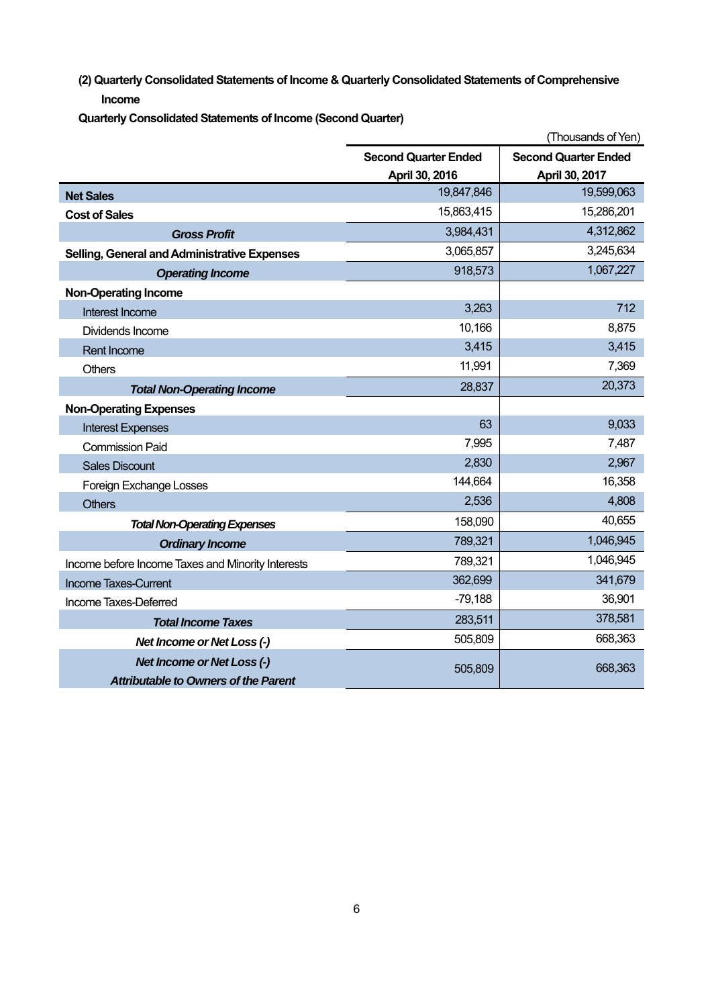**(2) Quarterly Consolidated Statements of Income & Quarterly Consolidated Statements of Comprehensive Income** 

**Quarterly Consolidated Statements of Income (Second Quarter)** 

|                                                   |                             | (Thousands of Yen)          |
|---------------------------------------------------|-----------------------------|-----------------------------|
|                                                   | <b>Second Quarter Ended</b> | <b>Second Quarter Ended</b> |
|                                                   | April 30, 2016              | April 30, 2017              |
| <b>Net Sales</b>                                  | 19,847,846                  | 19,599,063                  |
| <b>Cost of Sales</b>                              | 15,863,415                  | 15,286,201                  |
| <b>Gross Profit</b>                               | 3,984,431                   | 4,312,862                   |
| Selling, General and Administrative Expenses      | 3,065,857                   | 3,245,634                   |
| <b>Operating Income</b>                           | 918,573                     | 1,067,227                   |
| <b>Non-Operating Income</b>                       |                             |                             |
| Interest Income                                   | 3,263                       | 712                         |
| Dividends Income                                  | 10,166                      | 8,875                       |
| <b>Rent Income</b>                                | 3,415                       | 3,415                       |
| <b>Others</b>                                     | 11,991                      | 7,369                       |
| <b>Total Non-Operating Income</b>                 | 28,837                      | 20,373                      |
| <b>Non-Operating Expenses</b>                     |                             |                             |
| <b>Interest Expenses</b>                          | 63                          | 9,033                       |
| <b>Commission Paid</b>                            | 7,995                       | 7,487                       |
| <b>Sales Discount</b>                             | 2,830                       | 2,967                       |
| Foreign Exchange Losses                           | 144,664                     | 16,358                      |
| <b>Others</b>                                     | 2,536                       | 4,808                       |
| <b>Total Non-Operating Expenses</b>               | 158,090                     | 40,655                      |
| <b>Ordinary Income</b>                            | 789,321                     | 1,046,945                   |
| Income before Income Taxes and Minority Interests | 789,321                     | 1,046,945                   |
| <b>Income Taxes-Current</b>                       | 362,699                     | 341,679                     |
| Income Taxes-Deferred                             | $-79,188$                   | 36,901                      |
| <b>Total Income Taxes</b>                         | 283,511                     | 378,581                     |
| Net Income or Net Loss (-)                        | 505,809                     | 668,363                     |
| <b>Net Income or Net Loss (-)</b>                 | 505,809                     | 668,363                     |
| <b>Attributable to Owners of the Parent</b>       |                             |                             |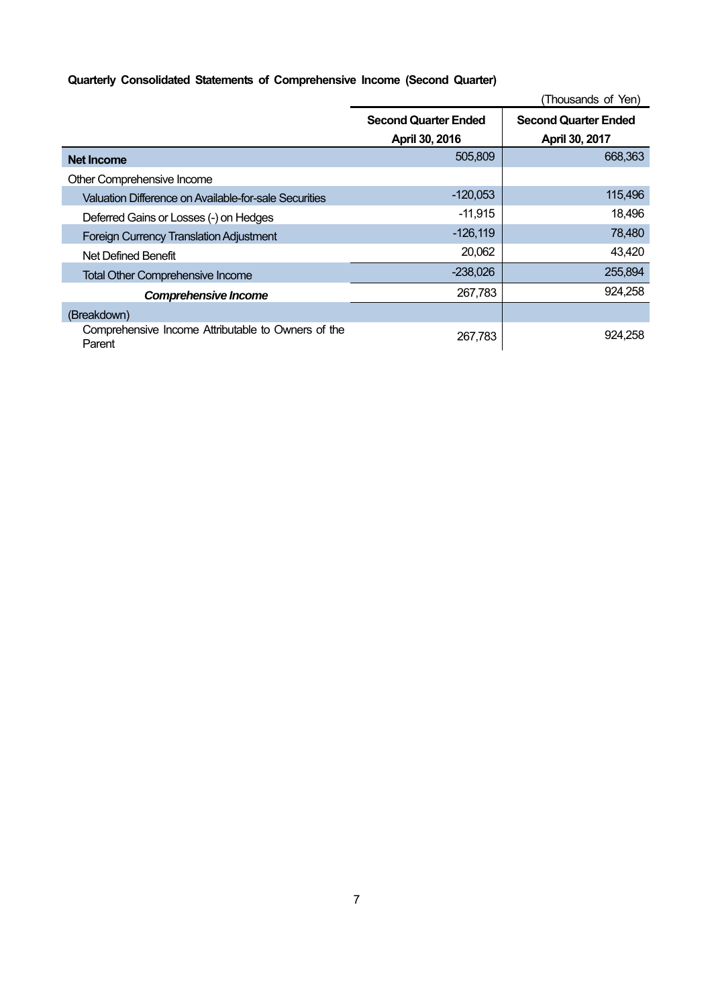## **Quarterly Consolidated Statements of Comprehensive Income (Second Quarter)**

|                                                              |                             | (Thousands of Yen)          |
|--------------------------------------------------------------|-----------------------------|-----------------------------|
|                                                              | <b>Second Quarter Ended</b> | <b>Second Quarter Ended</b> |
|                                                              | April 30, 2016              | April 30, 2017              |
| Net Income                                                   | 505,809                     | 668,363                     |
| Other Comprehensive Income                                   |                             |                             |
| Valuation Difference on Available-for-sale Securities        | $-120,053$                  | 115,496                     |
| Deferred Gains or Losses (-) on Hedges                       | $-11,915$                   | 18,496                      |
| <b>Foreign Currency Translation Adjustment</b>               | $-126,119$                  | 78,480                      |
| Net Defined Benefit                                          | 20,062                      | 43,420                      |
| <b>Total Other Comprehensive Income</b>                      | $-238,026$                  | 255,894                     |
| <b>Comprehensive Income</b>                                  | 267,783                     | 924,258                     |
| (Breakdown)                                                  |                             |                             |
| Comprehensive Income Attributable to Owners of the<br>Parent | 267,783                     | 924.258                     |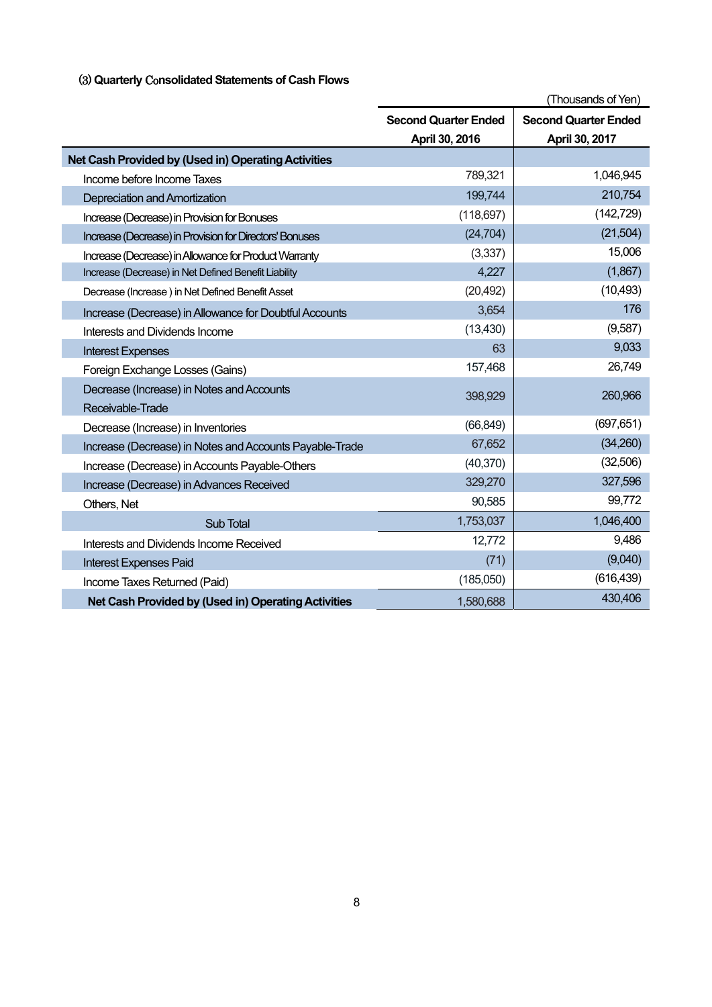## (3) **Quarterly** Co**nsolidated Statements of Cash Flows**

|                                                         | (Thousands of Yen)                                         |                |  |
|---------------------------------------------------------|------------------------------------------------------------|----------------|--|
|                                                         | <b>Second Quarter Ended</b><br><b>Second Quarter Ended</b> |                |  |
|                                                         | April 30, 2016                                             | April 30, 2017 |  |
| Net Cash Provided by (Used in) Operating Activities     |                                                            |                |  |
| Income before Income Taxes                              | 789,321                                                    | 1,046,945      |  |
| Depreciation and Amortization                           | 199,744                                                    | 210,754        |  |
| Increase (Decrease) in Provision for Bonuses            | (118, 697)                                                 | (142, 729)     |  |
| Increase (Decrease) in Provision for Directors' Bonuses | (24, 704)                                                  | (21,504)       |  |
| Increase (Decrease) in Allowance for Product Warranty   | (3,337)                                                    | 15,006         |  |
| Increase (Decrease) in Net Defined Benefit Liability    | 4,227                                                      | (1,867)        |  |
| Decrease (Increase) in Net Defined Benefit Asset        | (20, 492)                                                  | (10, 493)      |  |
| Increase (Decrease) in Allowance for Doubtful Accounts  | 3,654                                                      | 176            |  |
| Interests and Dividends Income                          | (13, 430)                                                  | (9,587)        |  |
| <b>Interest Expenses</b>                                | 63                                                         | 9,033          |  |
| Foreign Exchange Losses (Gains)                         | 157,468                                                    | 26,749         |  |
| Decrease (Increase) in Notes and Accounts               | 398,929                                                    | 260,966        |  |
| Receivable-Trade                                        |                                                            |                |  |
| Decrease (Increase) in Inventories                      | (66, 849)                                                  | (697, 651)     |  |
| Increase (Decrease) in Notes and Accounts Payable-Trade | 67,652                                                     | (34,260)       |  |
| Increase (Decrease) in Accounts Payable-Others          | (40, 370)                                                  | (32,506)       |  |
| Increase (Decrease) in Advances Received                | 329,270                                                    | 327,596        |  |
| Others, Net                                             | 90,585                                                     | 99,772         |  |
| Sub Total                                               | 1,753,037                                                  | 1,046,400      |  |
| Interests and Dividends Income Received                 | 12,772                                                     | 9,486          |  |
| <b>Interest Expenses Paid</b>                           | (71)                                                       | (9,040)        |  |
| Income Taxes Returned (Paid)                            | (185,050)                                                  | (616, 439)     |  |
| Net Cash Provided by (Used in) Operating Activities     | 1,580,688                                                  | 430,406        |  |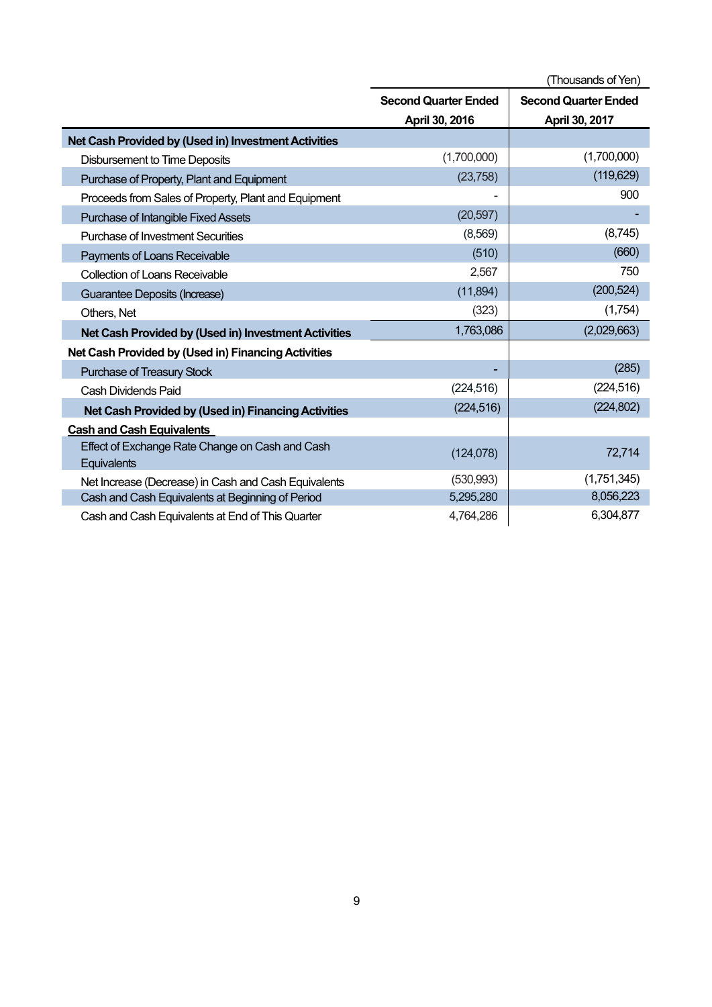|                                                                | (Thousands of Yen)          |                             |  |
|----------------------------------------------------------------|-----------------------------|-----------------------------|--|
|                                                                | <b>Second Quarter Ended</b> | <b>Second Quarter Ended</b> |  |
|                                                                | April 30, 2016              | April 30, 2017              |  |
| Net Cash Provided by (Used in) Investment Activities           |                             |                             |  |
| <b>Disbursement to Time Deposits</b>                           | (1,700,000)                 | (1,700,000)                 |  |
| Purchase of Property, Plant and Equipment                      | (23,758)                    | (119, 629)                  |  |
| Proceeds from Sales of Property, Plant and Equipment           |                             | 900                         |  |
| Purchase of Intangible Fixed Assets                            | (20, 597)                   |                             |  |
| <b>Purchase of Investment Securities</b>                       | (8,569)                     | (8,745)                     |  |
| Payments of Loans Receivable                                   | (510)                       | (660)                       |  |
| <b>Collection of Loans Receivable</b>                          | 2,567                       | 750                         |  |
| Guarantee Deposits (Increase)                                  | (11, 894)                   | (200, 524)                  |  |
| Others, Net                                                    | (323)                       | (1,754)                     |  |
| Net Cash Provided by (Used in) Investment Activities           | 1,763,086                   | (2,029,663)                 |  |
| Net Cash Provided by (Used in) Financing Activities            |                             |                             |  |
| <b>Purchase of Treasury Stock</b>                              |                             | (285)                       |  |
| Cash Dividends Paid                                            | (224, 516)                  | (224, 516)                  |  |
| Net Cash Provided by (Used in) Financing Activities            | (224, 516)                  | (224, 802)                  |  |
| <b>Cash and Cash Equivalents</b>                               |                             |                             |  |
| Effect of Exchange Rate Change on Cash and Cash<br>Equivalents | (124, 078)                  | 72,714                      |  |
| Net Increase (Decrease) in Cash and Cash Equivalents           | (530, 993)                  | (1,751,345)                 |  |
| Cash and Cash Equivalents at Beginning of Period               | 5,295,280                   | 8,056,223                   |  |
| Cash and Cash Equivalents at End of This Quarter               | 4,764,286                   | 6,304,877                   |  |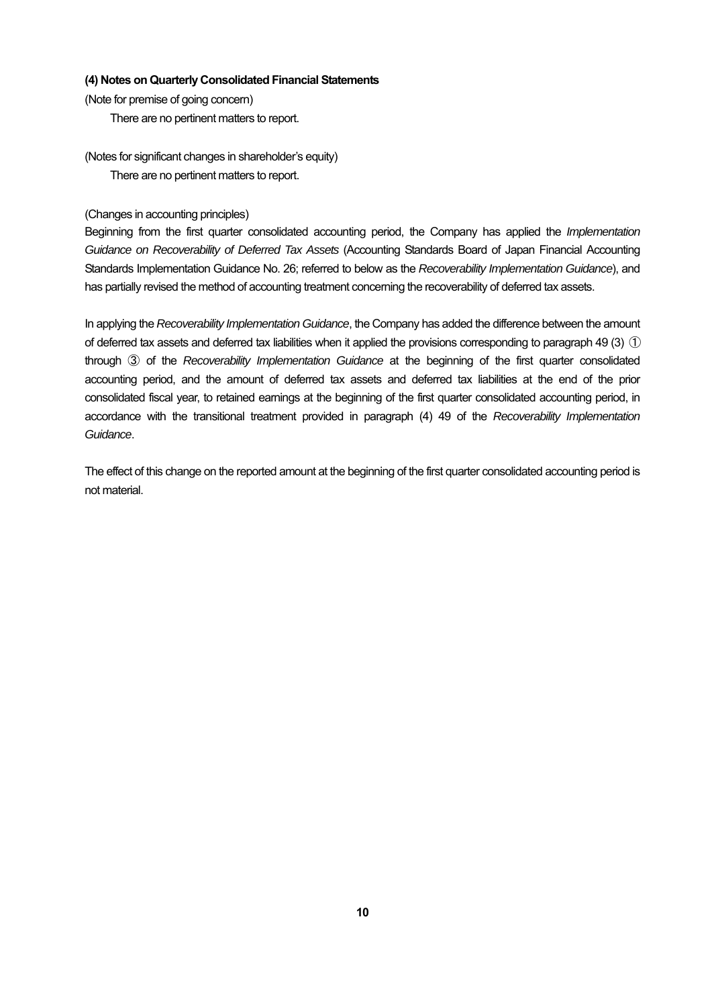#### **(4) Notes on Quarterly Consolidated Financial Statements**

(Note for premise of going concern)

There are no pertinent matters to report.

(Notes for significant changes in shareholder's equity) There are no pertinent matters to report.

(Changes in accounting principles)

Beginning from the first quarter consolidated accounting period, the Company has applied the *Implementation Guidance on Recoverability of Deferred Tax Assets* (Accounting Standards Board of Japan Financial Accounting Standards Implementation Guidance No. 26; referred to below as the *Recoverability Implementation Guidance*), and has partially revised the method of accounting treatment concerning the recoverability of deferred tax assets.

In applying the *Recoverability Implementation Guidance*, the Company has added the difference between the amount of deferred tax assets and deferred tax liabilities when it applied the provisions corresponding to paragraph 49 (3)  $\odot$ through ③ of the *Recoverability Implementation Guidance* at the beginning of the first quarter consolidated accounting period, and the amount of deferred tax assets and deferred tax liabilities at the end of the prior consolidated fiscal year, to retained earnings at the beginning of the first quarter consolidated accounting period, in accordance with the transitional treatment provided in paragraph (4) 49 of the *Recoverability Implementation Guidance*.

The effect of this change on the reported amount at the beginning of the first quarter consolidated accounting period is not material.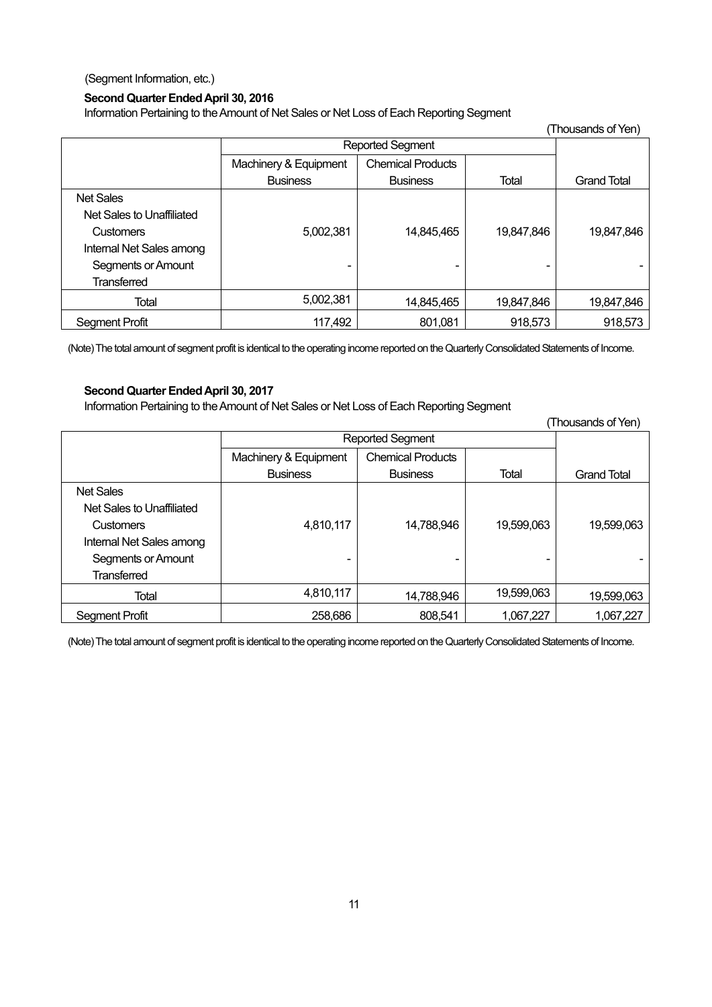(Segment Information, etc.)

#### **Second Quarter Ended April 30, 2016**

Information Pertaining to the Amount of Net Sales or Net Loss of Each Reporting Segment

| (Thousands of Yen)        |                       |                          |            |                    |
|---------------------------|-----------------------|--------------------------|------------|--------------------|
|                           | Reported Segment      |                          |            |                    |
|                           | Machinery & Equipment | <b>Chemical Products</b> |            |                    |
|                           | <b>Business</b>       | <b>Business</b>          | Total      | <b>Grand Total</b> |
| <b>Net Sales</b>          |                       |                          |            |                    |
| Net Sales to Unaffiliated |                       |                          |            |                    |
| <b>Customers</b>          | 5,002,381             | 14,845,465               | 19,847,846 | 19,847,846         |
| Internal Net Sales among  |                       |                          |            |                    |
| Segments or Amount        | -                     | -                        |            |                    |
| <b>Transferred</b>        |                       |                          |            |                    |
| Total                     | 5,002,381             | 14,845,465               | 19,847,846 | 19,847,846         |
| Segment Profit            | 117,492               | 801,081                  | 918,573    | 918,573            |

(Note) The total amount of segment profit is identical to the operating income reported on the Quarterly Consolidated Statements of Income.

#### **Second Quarter Ended April 30, 2017**

Information Pertaining to the Amount of Net Sales or Net Loss of Each Reporting Segment

 (Thousands of Yen) Reported Segment Grand Total Machinery & Equipment **Business** Chemical Products Business Total Net Sales Net Sales to Unaffiliated **Customers** Internal Net Sales among Segments or Amount **Transferred** 4,810,117 - 14,788,946 - 19,599,063 - 19,599,063 - Total 4,810,117 | <sub>14,788,946</sub> | 19,599,063 | <sub>19,599,063</sub> Segment Profit 1,067,227

(Note) The total amount of segment profit is identical to the operating income reported on the Quarterly Consolidated Statements of Income.